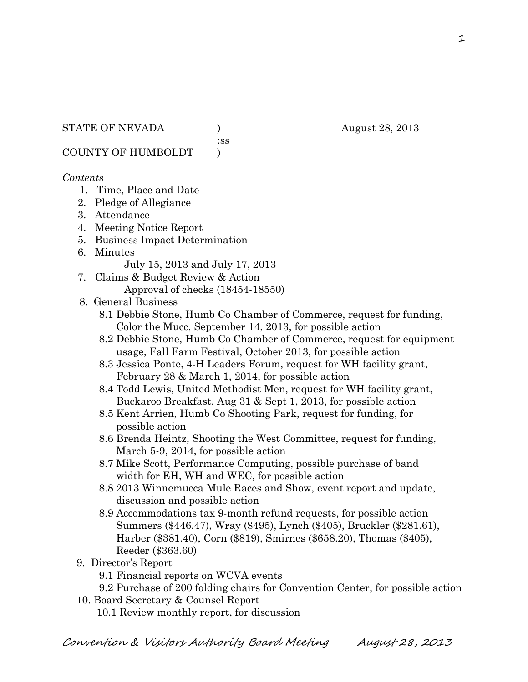:ss

COUNTY OF HUMBOLDT )

# *Contents*

- 1. Time, Place and Date
- 2. Pledge of Allegiance
- 3. Attendance
- 4. Meeting Notice Report
- 5. Business Impact Determination
- 6. Minutes

July 15, 2013 and July 17, 2013

- 7. Claims & Budget Review & Action Approval of checks (18454-18550)
- 8. General Business
	- 8.1 Debbie Stone, Humb Co Chamber of Commerce, request for funding, Color the Mucc, September 14, 2013, for possible action
	- 8.2 Debbie Stone, Humb Co Chamber of Commerce, request for equipment usage, Fall Farm Festival, October 2013, for possible action
	- 8.3 Jessica Ponte, 4-H Leaders Forum, request for WH facility grant, February 28 & March 1, 2014, for possible action
	- 8.4 Todd Lewis, United Methodist Men, request for WH facility grant, Buckaroo Breakfast, Aug 31 & Sept 1, 2013, for possible action
	- 8.5 Kent Arrien, Humb Co Shooting Park, request for funding, for possible action
	- 8.6 Brenda Heintz, Shooting the West Committee, request for funding, March 5-9, 2014, for possible action
	- 8.7 Mike Scott, Performance Computing, possible purchase of band width for EH, WH and WEC, for possible action
	- 8.8 2013 Winnemucca Mule Races and Show, event report and update, discussion and possible action
	- 8.9 Accommodations tax 9-month refund requests, for possible action Summers (\$446.47), Wray (\$495), Lynch (\$405), Bruckler (\$281.61), Harber (\$381.40), Corn (\$819), Smirnes (\$658.20), Thomas (\$405), Reeder (\$363.60)
- 9. Director's Report
	- 9.1 Financial reports on WCVA events
	- 9.2 Purchase of 200 folding chairs for Convention Center, for possible action
- 10. Board Secretary & Counsel Report 10.1 Review monthly report, for discussion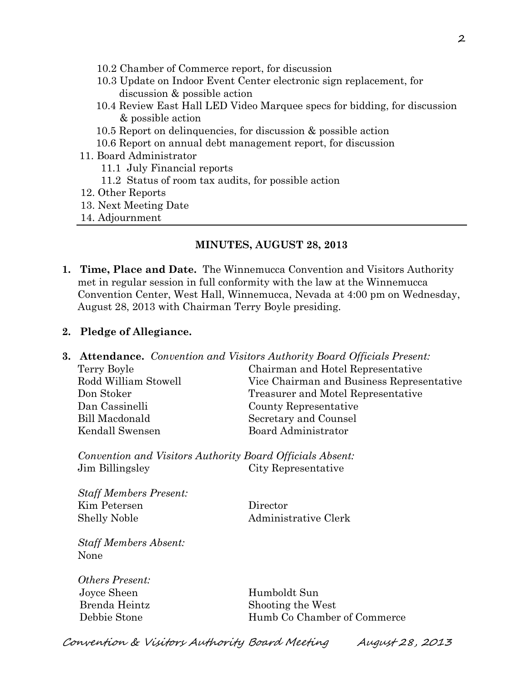- 10.2 Chamber of Commerce report, for discussion
- 10.3 Update on Indoor Event Center electronic sign replacement, for discussion & possible action
- 10.4 Review East Hall LED Video Marquee specs for bidding, for discussion & possible action
- 10.5 Report on delinquencies, for discussion & possible action
- 10.6 Report on annual debt management report, for discussion
- 11. Board Administrator
	- 11.1 July Financial reports
	- 11.2 Status of room tax audits, for possible action
- 12. Other Reports
- 13. Next Meeting Date
- 14. Adjournment

#### **MINUTES, AUGUST 28, 2013**

**1. Time, Place and Date.** The Winnemucca Convention and Visitors Authority met in regular session in full conformity with the law at the Winnemucca Convention Center, West Hall, Winnemucca, Nevada at 4:00 pm on Wednesday, August 28, 2013 with Chairman Terry Boyle presiding.

#### **2. Pledge of Allegiance.**

**3. Attendance.** *Convention and Visitors Authority Board Officials Present:* Terry Boyle Chairman and Hotel Representative Rodd William Stowell Vice Chairman and Business Representative Don Stoker Treasurer and Motel Representative Dan Cassinelli County Representative Bill Macdonald Secretary and Counsel Kendall Swensen Board Administrator

*Convention and Visitors Authority Board Officials Absent:* Jim Billingsley City Representative

*Staff Members Present:* Kim Petersen Director Shelly Noble Administrative Clerk

*Staff Members Absent:* None

*Others Present:* Joyce Sheen Humboldt Sun

Brenda Heintz Shooting the West Debbie Stone Humb Co Chamber of Commerce

Convention & Visitors Authority Board Meeting August 28, 2013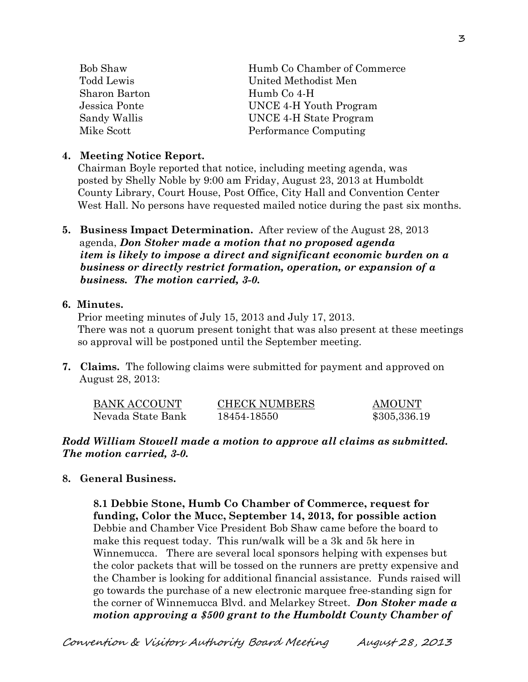| <b>Bob Shaw</b> | Humb Co Chamber of Commerce |
|-----------------|-----------------------------|
| Todd Lewis      | United Methodist Men        |
| Sharon Barton   | Humb Co 4-H                 |
| Jessica Ponte   | UNCE 4-H Youth Program      |
| Sandy Wallis    | UNCE 4-H State Program      |
| Mike Scott      | Performance Computing       |

## **4. Meeting Notice Report.**

Chairman Boyle reported that notice, including meeting agenda, was posted by Shelly Noble by 9:00 am Friday, August 23, 2013 at Humboldt County Library, Court House, Post Office, City Hall and Convention Center West Hall. No persons have requested mailed notice during the past six months.

**5. Business Impact Determination.** After review of the August 28, 2013 agenda, *Don Stoker made a motion that no proposed agenda item is likely to impose a direct and significant economic burden on a business or directly restrict formation, operation, or expansion of a business. The motion carried, 3-0.* 

## **6. Minutes.**

Prior meeting minutes of July 15, 2013 and July 17, 2013. There was not a quorum present tonight that was also present at these meetings so approval will be postponed until the September meeting.

**7. Claims.** The following claims were submitted for payment and approved on August 28, 2013:

| BANK ACCOUNT      | <b>CHECK NUMBERS</b> | AMOUNT       |
|-------------------|----------------------|--------------|
| Nevada State Bank | 18454-18550          | \$305,336.19 |

*Rodd William Stowell made a motion to approve all claims as submitted. The motion carried, 3-0.* 

# **8. General Business.**

**8.1 Debbie Stone, Humb Co Chamber of Commerce, request for funding, Color the Mucc, September 14, 2013, for possible action** Debbie and Chamber Vice President Bob Shaw came before the board to make this request today. This run/walk will be a 3k and 5k here in Winnemucca. There are several local sponsors helping with expenses but the color packets that will be tossed on the runners are pretty expensive and the Chamber is looking for additional financial assistance. Funds raised will go towards the purchase of a new electronic marquee free-standing sign for the corner of Winnemucca Blvd. and Melarkey Street. *Don Stoker made a motion approving a \$500 grant to the Humboldt County Chamber of*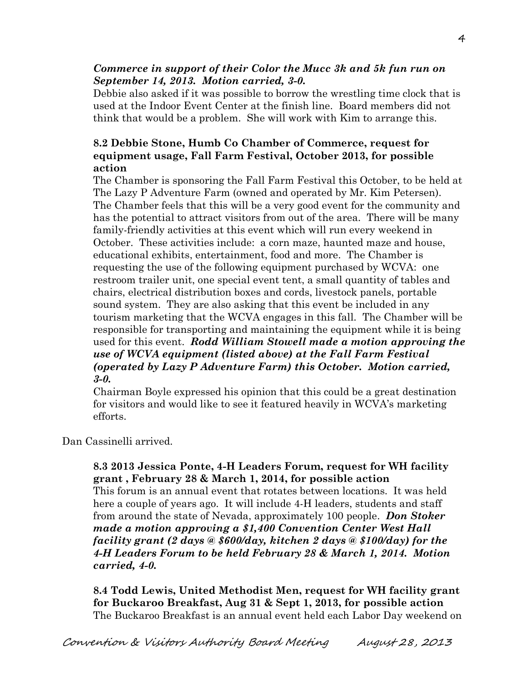# *Commerce in support of their Color the Mucc 3k and 5k fun run on September 14, 2013. Motion carried, 3-0.*

Debbie also asked if it was possible to borrow the wrestling time clock that is used at the Indoor Event Center at the finish line. Board members did not think that would be a problem. She will work with Kim to arrange this.

# **8.2 Debbie Stone, Humb Co Chamber of Commerce, request for equipment usage, Fall Farm Festival, October 2013, for possible action**

The Chamber is sponsoring the Fall Farm Festival this October, to be held at The Lazy P Adventure Farm (owned and operated by Mr. Kim Petersen). The Chamber feels that this will be a very good event for the community and has the potential to attract visitors from out of the area. There will be many family-friendly activities at this event which will run every weekend in October. These activities include: a corn maze, haunted maze and house, educational exhibits, entertainment, food and more. The Chamber is requesting the use of the following equipment purchased by WCVA: one restroom trailer unit, one special event tent, a small quantity of tables and chairs, electrical distribution boxes and cords, livestock panels, portable sound system. They are also asking that this event be included in any tourism marketing that the WCVA engages in this fall. The Chamber will be responsible for transporting and maintaining the equipment while it is being used for this event. *Rodd William Stowell made a motion approving the use of WCVA equipment (listed above) at the Fall Farm Festival (operated by Lazy P Adventure Farm) this October. Motion carried, 3-0.* 

Chairman Boyle expressed his opinion that this could be a great destination for visitors and would like to see it featured heavily in WCVA's marketing efforts.

Dan Cassinelli arrived.

# **8.3 2013 Jessica Ponte, 4-H Leaders Forum, request for WH facility grant , February 28 & March 1, 2014, for possible action**

This forum is an annual event that rotates between locations. It was held here a couple of years ago. It will include 4-H leaders, students and staff from around the state of Nevada, approximately 100 people. *Don Stoker made a motion approving a \$1,400 Convention Center West Hall facility grant (2 days @ \$600/day, kitchen 2 days @ \$100/day) for the 4-H Leaders Forum to be held February 28 & March 1, 2014. Motion carried, 4-0.* 

**8.4 Todd Lewis, United Methodist Men, request for WH facility grant for Buckaroo Breakfast, Aug 31 & Sept 1, 2013, for possible action**  The Buckaroo Breakfast is an annual event held each Labor Day weekend on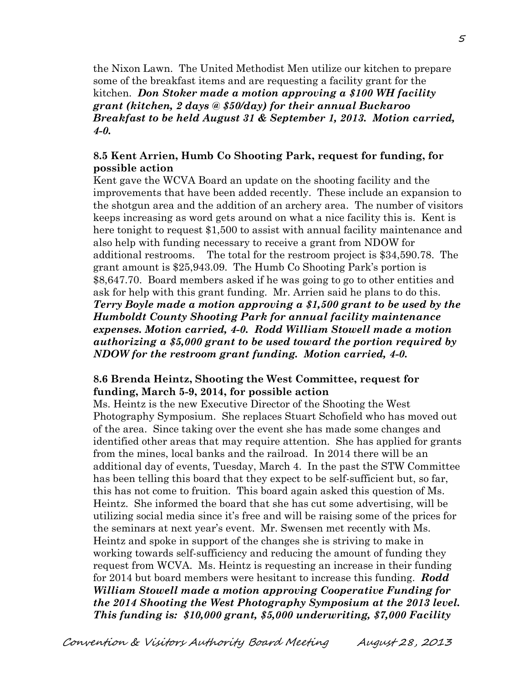the Nixon Lawn. The United Methodist Men utilize our kitchen to prepare some of the breakfast items and are requesting a facility grant for the kitchen. *Don Stoker made a motion approving a \$100 WH facility grant (kitchen, 2 days @ \$50/day) for their annual Buckaroo Breakfast to be held August 31 & September 1, 2013. Motion carried, 4-0.*

# **8.5 Kent Arrien, Humb Co Shooting Park, request for funding, for possible action**

Kent gave the WCVA Board an update on the shooting facility and the improvements that have been added recently. These include an expansion to the shotgun area and the addition of an archery area. The number of visitors keeps increasing as word gets around on what a nice facility this is. Kent is here tonight to request \$1,500 to assist with annual facility maintenance and also help with funding necessary to receive a grant from NDOW for additional restrooms. The total for the restroom project is \$34,590.78. The grant amount is \$25,943.09. The Humb Co Shooting Park's portion is \$8,647.70. Board members asked if he was going to go to other entities and ask for help with this grant funding. Mr. Arrien said he plans to do this. *Terry Boyle made a motion approving a \$1,500 grant to be used by the Humboldt County Shooting Park for annual facility maintenance expenses. Motion carried, 4-0. Rodd William Stowell made a motion authorizing a \$5,000 grant to be used toward the portion required by NDOW for the restroom grant funding. Motion carried, 4-0.*

## **8.6 Brenda Heintz, Shooting the West Committee, request for funding, March 5-9, 2014, for possible action**

Ms. Heintz is the new Executive Director of the Shooting the West Photography Symposium. She replaces Stuart Schofield who has moved out of the area. Since taking over the event she has made some changes and identified other areas that may require attention. She has applied for grants from the mines, local banks and the railroad. In 2014 there will be an additional day of events, Tuesday, March 4. In the past the STW Committee has been telling this board that they expect to be self-sufficient but, so far, this has not come to fruition. This board again asked this question of Ms. Heintz. She informed the board that she has cut some advertising, will be utilizing social media since it's free and will be raising some of the prices for the seminars at next year's event. Mr. Swensen met recently with Ms. Heintz and spoke in support of the changes she is striving to make in working towards self-sufficiency and reducing the amount of funding they request from WCVA. Ms. Heintz is requesting an increase in their funding for 2014 but board members were hesitant to increase this funding. *Rodd William Stowell made a motion approving Cooperative Funding for the 2014 Shooting the West Photography Symposium at the 2013 level. This funding is: \$10,000 grant, \$5,000 underwriting, \$7,000 Facility*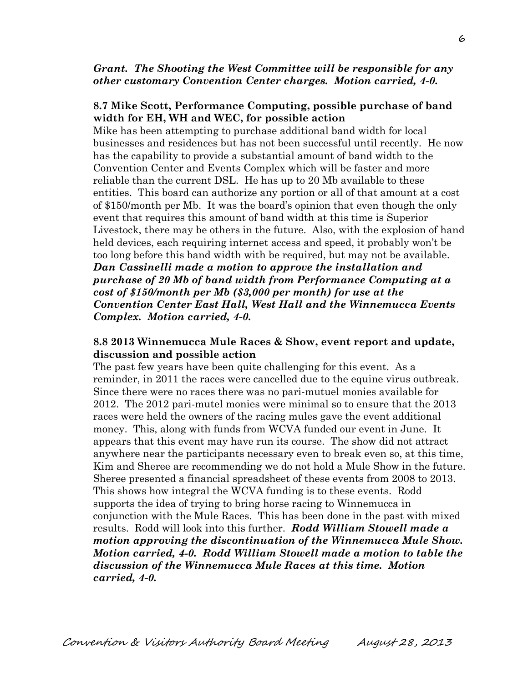## *Grant. The Shooting the West Committee will be responsible for any other customary Convention Center charges. Motion carried, 4-0.*

#### **8.7 Mike Scott, Performance Computing, possible purchase of band width for EH, WH and WEC, for possible action**

Mike has been attempting to purchase additional band width for local businesses and residences but has not been successful until recently. He now has the capability to provide a substantial amount of band width to the Convention Center and Events Complex which will be faster and more reliable than the current DSL. He has up to 20 Mb available to these entities. This board can authorize any portion or all of that amount at a cost of \$150/month per Mb. It was the board's opinion that even though the only event that requires this amount of band width at this time is Superior Livestock, there may be others in the future. Also, with the explosion of hand held devices, each requiring internet access and speed, it probably won't be too long before this band width with be required, but may not be available. *Dan Cassinelli made a motion to approve the installation and purchase of 20 Mb of band width from Performance Computing at a cost of \$150/month per Mb (\$3,000 per month) for use at the Convention Center East Hall, West Hall and the Winnemucca Events Complex. Motion carried, 4-0.* 

## **8.8 2013 Winnemucca Mule Races & Show, event report and update, discussion and possible action**

The past few years have been quite challenging for this event. As a reminder, in 2011 the races were cancelled due to the equine virus outbreak. Since there were no races there was no pari-mutuel monies available for 2012. The 2012 pari-mutel monies were minimal so to ensure that the 2013 races were held the owners of the racing mules gave the event additional money. This, along with funds from WCVA funded our event in June. It appears that this event may have run its course. The show did not attract anywhere near the participants necessary even to break even so, at this time, Kim and Sheree are recommending we do not hold a Mule Show in the future. Sheree presented a financial spreadsheet of these events from 2008 to 2013. This shows how integral the WCVA funding is to these events. Rodd supports the idea of trying to bring horse racing to Winnemucca in conjunction with the Mule Races. This has been done in the past with mixed results. Rodd will look into this further. *Rodd William Stowell made a motion approving the discontinuation of the Winnemucca Mule Show. Motion carried, 4-0. Rodd William Stowell made a motion to table the discussion of the Winnemucca Mule Races at this time. Motion carried, 4-0.*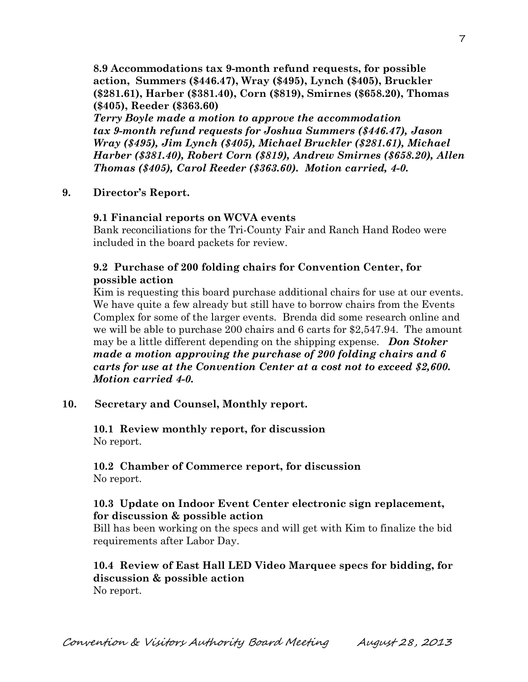**8.9 Accommodations tax 9-month refund requests, for possible action, Summers (\$446.47), Wray (\$495), Lynch (\$405), Bruckler (\$281.61), Harber (\$381.40), Corn (\$819), Smirnes (\$658.20), Thomas (\$405), Reeder (\$363.60)** 

*Terry Boyle made a motion to approve the accommodation tax 9-month refund requests for Joshua Summers (\$446.47), Jason Wray (\$495), Jim Lynch (\$405), Michael Bruckler (\$281.61), Michael Harber (\$381.40), Robert Corn (\$819), Andrew Smirnes (\$658.20), Allen Thomas (\$405), Carol Reeder (\$363.60). Motion carried, 4-0.* 

#### **9. Director's Report.**

#### **9.1 Financial reports on WCVA events**

Bank reconciliations for the Tri-County Fair and Ranch Hand Rodeo were included in the board packets for review.

## **9.2 Purchase of 200 folding chairs for Convention Center, for possible action**

Kim is requesting this board purchase additional chairs for use at our events. We have quite a few already but still have to borrow chairs from the Events Complex for some of the larger events. Brenda did some research online and we will be able to purchase 200 chairs and 6 carts for \$2,547.94. The amount may be a little different depending on the shipping expense. *Don Stoker made a motion approving the purchase of 200 folding chairs and 6 carts for use at the Convention Center at a cost not to exceed \$2,600. Motion carried 4-0.* 

#### **10. Secretary and Counsel, Monthly report.**

**10.1 Review monthly report, for discussion** No report.

#### **10.2 Chamber of Commerce report, for discussion** No report.

#### **10.3 Update on Indoor Event Center electronic sign replacement, for discussion & possible action**

Bill has been working on the specs and will get with Kim to finalize the bid requirements after Labor Day.

# **10.4 Review of East Hall LED Video Marquee specs for bidding, for discussion & possible action**

No report.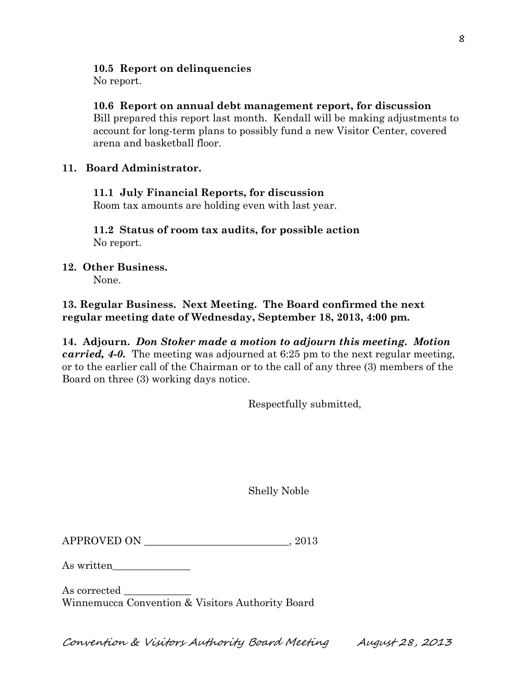# **10.5 Report on delinquencies**

No report.

# **10.6 Report on annual debt management report, for discussion**

Bill prepared this report last month. Kendall will be making adjustments to account for long-term plans to possibly fund a new Visitor Center, covered arena and basketball floor.

# **11. Board Administrator.**

# **11.1 July Financial Reports, for discussion**

Room tax amounts are holding even with last year.

**11.2 Status of room tax audits, for possible action**  No report.

# **12. Other Business.**

None.

# **13. Regular Business. Next Meeting. The Board confirmed the next regular meeting date of Wednesday, September 18, 2013, 4:00 pm.**

**14. Adjourn.** *Don Stoker made a motion to adjourn this meeting. Motion carried, 4-0.* The meeting was adjourned at 6:25 pm to the next regular meeting, or to the earlier call of the Chairman or to the call of any three (3) members of the Board on three (3) working days notice.

Respectfully submitted,

Shelly Noble

| <b>APPROVED ON</b> |  | 2013 |
|--------------------|--|------|
|--------------------|--|------|

As written

As corrected Winnemucca Convention & Visitors Authority Board

Convention & Visitors Authority Board Meeting August 28, 2013